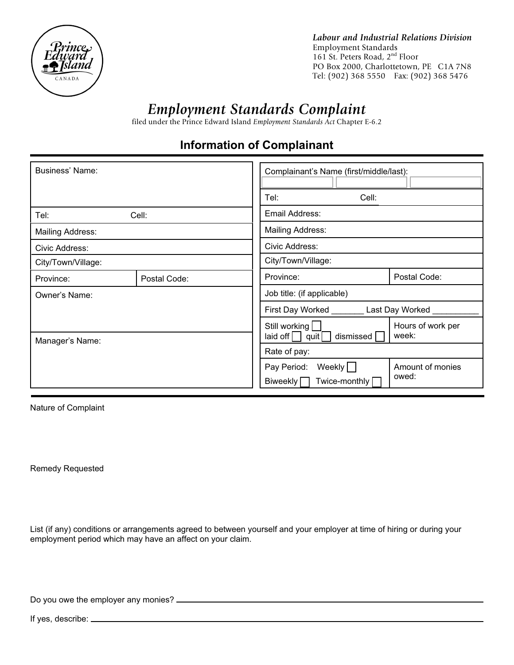

Labour and Industrial Relations Division Employment Standards 161 St. Peters Road,  $2<sup>nd</sup>$  Floor PO Box 2000, Charlottetown, PE C1A 7N8 Tel: (902) 368 5550 Fax: (902) 368 5476

## *Employment Standards Complaint*

filed under the Prince Edward Island *Employment Standards Act* Chapter E-6.2

## **Information of Complainant**

| <b>Business' Name:</b>           |              | Complainant's Name (first/middle/last):                         |                         |                            |
|----------------------------------|--------------|-----------------------------------------------------------------|-------------------------|----------------------------|
|                                  |              | Cell:<br>Tel:                                                   |                         |                            |
| Tel:                             | Cell:        | Email Address:                                                  |                         |                            |
| Mailing Address:                 |              | <b>Mailing Address:</b>                                         |                         |                            |
| Civic Address:                   |              | Civic Address:                                                  |                         |                            |
| City/Town/Village:               |              | City/Town/Village:                                              |                         |                            |
| Province:                        | Postal Code: | Province:                                                       |                         | Postal Code:               |
| Owner's Name:<br>Manager's Name: |              | Job title: (if applicable)                                      |                         |                            |
|                                  |              | First Day Worked Last Day Worked                                |                         |                            |
|                                  |              | Still working<br>$\left  \right $ aid off $\left  \right $ quit | dismissed               | Hours of work per<br>week: |
|                                  |              | Rate of pay:                                                    |                         |                            |
|                                  |              | Pay Period:<br>Biweekly [                                       | Weekly<br>Twice-monthly | Amount of monies<br>owed:  |

Nature of Complaint

Remedy Requested

List (if any) conditions or arrangements agreed to between yourself and your employer at time of hiring or during your employment period which may have an affect on your claim.

Do you owe the employer any monies?

If yes, describe: